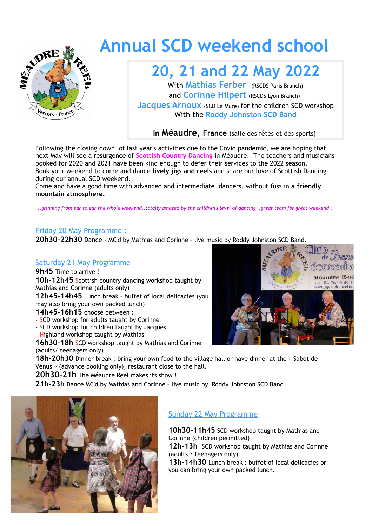

# **Annual SCD weekend school**

### **20, 21 and 22 May 2022**

With **Mathias Ferber** (RSCDS Paris Branch) and **Corinne Hilpert** (RSCDS Lyon Branch),

**Jacques Arnoux** (SCD La Mure) for the children SCD workshop With the **Roddy Johnston SCD Band**

**In Méaudre, France** (salle des fêtes et des sports)

Following the closing down of last year's activities due to the Covid pandemic, we are hoping that next May will see a resurgence of **Scottish Country Dancing** in Méaudre. The teachers and musicians booked for 2020 and 2021 have been kind enough to defer their services to the 2022 season. Book your weekend to come and dance **lively jigs and reels** and share our love of Scottish Dancing during our annual SCD weekend.

Come and have a good time with advanced and intermediate dancers, without fuss in a **friendly mountain atmosphere.**

*..grinning from ear to ear the whole weekend..totally amazed by the children's level of dancing ..great team for great weekend ..*

#### Friday 20 May Programme :

**20h30-22h30** Dance - MC'd by Mathias and Corinne – live music by Roddy Johnston SCD Band.

#### Saturday 21 May Programme

**9h45** Time to arrive ! **10h-12h45** Scottish country dancing workshop taught by Mathias and Corinne (adults only)

**12h45-14h45** Lunch break – buffet of local delicacies (you may also bring your own packed lunch)

#### **14h45-16h15** choose between :

- SCD workshop for adults taught by Corinne
- SCD workshop for children taught by Jacques
- Highland workshop taught by Mathias

**16h30-18h** SCD workshop taught by Mathias and Corinne (adults/ teenagers only)

18h-20h30 Dinner break : bring your own food to the village hall or have dinner at the « Sabot de Vénus » (advance booking only), restaurant close to the hall.

**20h30-21h** The Méaudre Reel makes its show !

**21h-23h** Dance MC'd by Mathias and Corinne – live music by Roddy Johnston SCD Band



#### Sunday 22 May Programme

**10h30-11h45** SCD workshop taught by Mathias and Corinne (children permitted) **12h-13h** SCD workshop taught by Mathias and Corinne (adults / teenagers only) **13h-14h30** Lunch break : buffet of local delicacies or you can bring your own packed lunch.